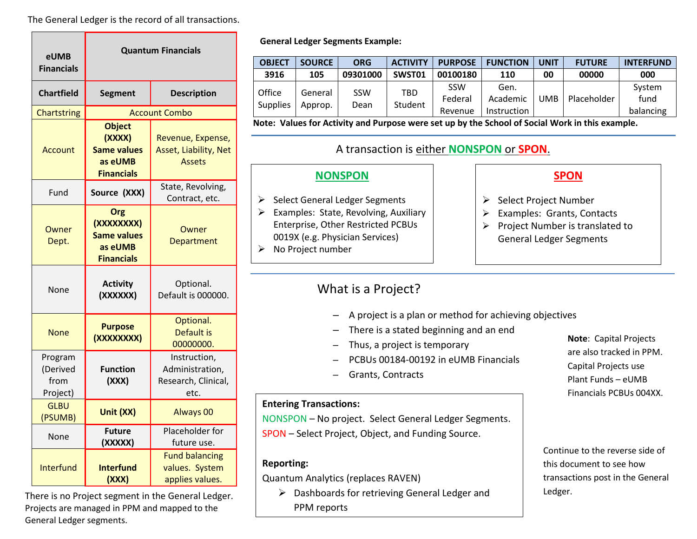The General Ledger is the record of all transactions.

| eUMB<br><b>Financials</b>               | <b>Quantum Financials</b>                                                     |                                                                |  |  |
|-----------------------------------------|-------------------------------------------------------------------------------|----------------------------------------------------------------|--|--|
| <b>Chartfield</b>                       | <b>Segment</b>                                                                | <b>Description</b>                                             |  |  |
| <b>Chartstring</b>                      | <b>Account Combo</b>                                                          |                                                                |  |  |
| Account                                 | <b>Object</b><br>(XXXX)<br><b>Same values</b><br>as eUMB<br><b>Financials</b> | Revenue, Expense,<br>Asset, Liability, Net<br><b>Assets</b>    |  |  |
| Fund                                    | Source (XXX)                                                                  | State, Revolving,<br>Contract, etc.                            |  |  |
| Owner<br>Dept.                          | Org<br>(XXXXXXXX)<br><b>Same values</b><br>as eUMB<br><b>Financials</b>       | Owner<br>Department                                            |  |  |
| None                                    | <b>Activity</b><br>(XXXXXX)                                                   | Optional.<br>Default is 000000.                                |  |  |
| None                                    | <b>Purpose</b><br>(XXXXXXXX)                                                  | Optional.<br><b>Default is</b><br>00000000.                    |  |  |
| Program<br>(Derived<br>from<br>Project) | <b>Function</b><br>(XXX)                                                      | Instruction,<br>Administration,<br>Research, Clinical,<br>etc. |  |  |
| <b>GLBU</b><br>(PSUMB)                  | Unit (XX)                                                                     | <b>Always 00</b>                                               |  |  |
| None                                    | <b>Future</b><br>(XXXXX)                                                      | Placeholder for<br>future use.                                 |  |  |
| <b>Interfund</b>                        | <b>Interfund</b><br>(XXX)                                                     | <b>Fund balancing</b><br>values. System<br>applies values.     |  |  |

There is no Project segment in the General Ledger. Projects are managed in PPM and mapped to the General Ledger segments.

### **General Ledger Segments Example:**

| <b>OBJECT</b>             | <b>SOURCE</b>      | <b>ORG</b>  | <b>ACTIVITY</b> | <b>PURPOSE</b>                   | <b>FUNCTION</b>                        | <b>UNIT</b> | <b>FUTURE</b> | <b>INTERFUND</b>            |
|---------------------------|--------------------|-------------|-----------------|----------------------------------|----------------------------------------|-------------|---------------|-----------------------------|
| 3916                      | 105                | 09301000    | SWST01          | 00100180                         | <b>110</b>                             | 00          | 00000         | 000                         |
| Office<br><b>Supplies</b> | General<br>Approp. | SSW<br>Dean | TBD<br>Student  | <b>SSW</b><br>Federal<br>Revenue | Gen.<br>Academic<br><b>Instruction</b> | JMB         | Placeholder   | System<br>fund<br>balancing |

**Note: Values for Activity and Purpose were set up by the School of Social Work in this example.**

### A transaction is either **NONSPON** or **SPON**.

### **NONSPON**

- $\triangleright$  Select General Ledger Segments
- $\triangleright$  Examples: State, Revolving, Auxiliary Enterprise, Other Restricted PCBUs 0019X (e.g. Physician Services)
- $\triangleright$  No Project number

## **SPON**

- $\triangleright$  Select Project Number
- Examples: Grants, Contacts
- $\triangleright$  Project Number is translated to General Ledger Segments

## What is a Project?

- A project is a plan or method for achieving objectives
- There is a stated beginning and an end
- Thus, a project is temporary
	- PCBUs 00184-00192 in eUMB Financials
- Grants, Contracts

### **Entering Transactions:**

NONSPON – No project. Select General Ledger Segments. SPON – Select Project, Object, and Funding Source.

### **Reporting:**

Quantum Analytics (replaces RAVEN)

▶ Dashboards for retrieving General Ledger and PPM reports

**Note**: Capital Projects are also tracked in PPM. Capital Projects use Plant Funds – eUMB Financials PCBUs 004XX.

Continue to the reverse side of this document to see how transactions post in the General Ledger.